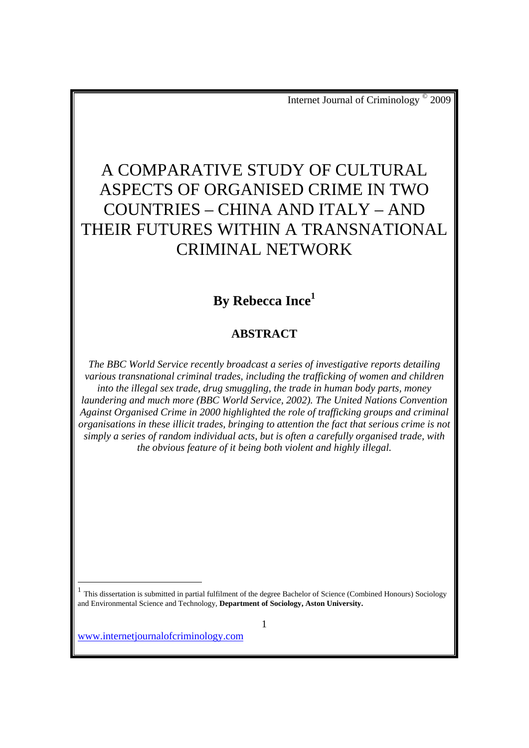# A COMPARATIVE STUDY OF CULTURAL ASPECTS OF ORGANISED CRIME IN TWO COUNTRIES – CHINA AND ITALY – AND THEIR FUTURES WITHIN A TRANSNATIONAL CRIMINAL NETWORK

## **By Rebecca Ince1**

## **ABSTRACT**

*The BBC World Service recently broadcast a series of investigative reports detailing various transnational criminal trades, including the trafficking of women and children into the illegal sex trade, drug smuggling, the trade in human body parts, money laundering and much more (BBC World Service, 2002). The United Nations Convention Against Organised Crime in 2000 highlighted the role of trafficking groups and criminal organisations in these illicit trades, bringing to attention the fact that serious crime is not simply a series of random individual acts, but is often a carefully organised trade, with the obvious feature of it being both violent and highly illegal.* 

<sup>1</sup> This dissertation is submitted in partial fulfilment of the degree Bachelor of Science (Combined Honours) Sociology and Environmental Science and Technology, **Department of Sociology, Aston University.**

www.internetjournalofcriminology.com

 $\overline{a}$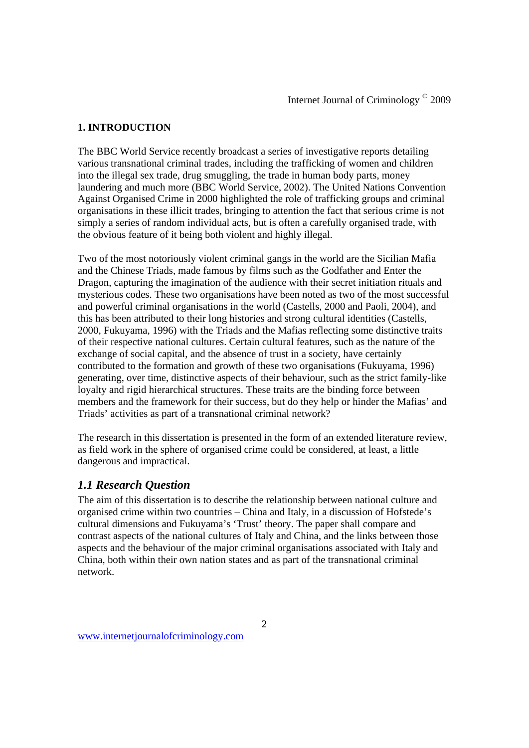### **1. INTRODUCTION**

The BBC World Service recently broadcast a series of investigative reports detailing various transnational criminal trades, including the trafficking of women and children into the illegal sex trade, drug smuggling, the trade in human body parts, money laundering and much more (BBC World Service, 2002). The United Nations Convention Against Organised Crime in 2000 highlighted the role of trafficking groups and criminal organisations in these illicit trades, bringing to attention the fact that serious crime is not simply a series of random individual acts, but is often a carefully organised trade, with the obvious feature of it being both violent and highly illegal.

Two of the most notoriously violent criminal gangs in the world are the Sicilian Mafia and the Chinese Triads, made famous by films such as the Godfather and Enter the Dragon, capturing the imagination of the audience with their secret initiation rituals and mysterious codes. These two organisations have been noted as two of the most successful and powerful criminal organisations in the world (Castells, 2000 and Paoli, 2004), and this has been attributed to their long histories and strong cultural identities (Castells, 2000, Fukuyama, 1996) with the Triads and the Mafias reflecting some distinctive traits of their respective national cultures. Certain cultural features, such as the nature of the exchange of social capital, and the absence of trust in a society, have certainly contributed to the formation and growth of these two organisations (Fukuyama, 1996) generating, over time, distinctive aspects of their behaviour, such as the strict family-like loyalty and rigid hierarchical structures. These traits are the binding force between members and the framework for their success, but do they help or hinder the Mafias' and Triads' activities as part of a transnational criminal network?

The research in this dissertation is presented in the form of an extended literature review, as field work in the sphere of organised crime could be considered, at least, a little dangerous and impractical.

## *1.1 Research Question*

The aim of this dissertation is to describe the relationship between national culture and organised crime within two countries – China and Italy, in a discussion of Hofstede's cultural dimensions and Fukuyama's 'Trust' theory. The paper shall compare and contrast aspects of the national cultures of Italy and China, and the links between those aspects and the behaviour of the major criminal organisations associated with Italy and China, both within their own nation states and as part of the transnational criminal network.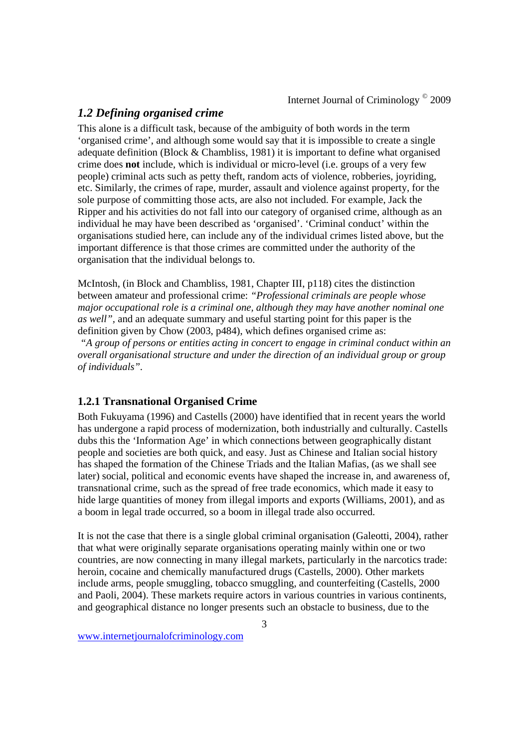## *1.2 Defining organised crime*

This alone is a difficult task, because of the ambiguity of both words in the term 'organised crime', and although some would say that it is impossible to create a single adequate definition (Block & Chambliss, 1981) it is important to define what organised crime does **not** include, which is individual or micro-level (i.e. groups of a very few people) criminal acts such as petty theft, random acts of violence, robberies, joyriding, etc. Similarly, the crimes of rape, murder, assault and violence against property, for the sole purpose of committing those acts, are also not included. For example, Jack the Ripper and his activities do not fall into our category of organised crime, although as an individual he may have been described as 'organised'. 'Criminal conduct' within the organisations studied here, can include any of the individual crimes listed above, but the important difference is that those crimes are committed under the authority of the organisation that the individual belongs to.

McIntosh, (in Block and Chambliss, 1981, Chapter III, p118) cites the distinction between amateur and professional crime: *"Professional criminals are people whose major occupational role is a criminal one, although they may have another nominal one as well",* and an adequate summary and useful starting point for this paper is the definition given by Chow (2003, p484), which defines organised crime as:

 *"A group of persons or entities acting in concert to engage in criminal conduct within an overall organisational structure and under the direction of an individual group or group of individuals".* 

### **1.2.1 Transnational Organised Crime**

Both Fukuyama (1996) and Castells (2000) have identified that in recent years the world has undergone a rapid process of modernization, both industrially and culturally. Castells dubs this the 'Information Age' in which connections between geographically distant people and societies are both quick, and easy. Just as Chinese and Italian social history has shaped the formation of the Chinese Triads and the Italian Mafias, (as we shall see later) social, political and economic events have shaped the increase in, and awareness of, transnational crime, such as the spread of free trade economics, which made it easy to hide large quantities of money from illegal imports and exports (Williams, 2001), and as a boom in legal trade occurred, so a boom in illegal trade also occurred.

It is not the case that there is a single global criminal organisation (Galeotti, 2004), rather that what were originally separate organisations operating mainly within one or two countries, are now connecting in many illegal markets, particularly in the narcotics trade: heroin, cocaine and chemically manufactured drugs (Castells, 2000). Other markets include arms, people smuggling, tobacco smuggling, and counterfeiting (Castells, 2000 and Paoli, 2004). These markets require actors in various countries in various continents, and geographical distance no longer presents such an obstacle to business, due to the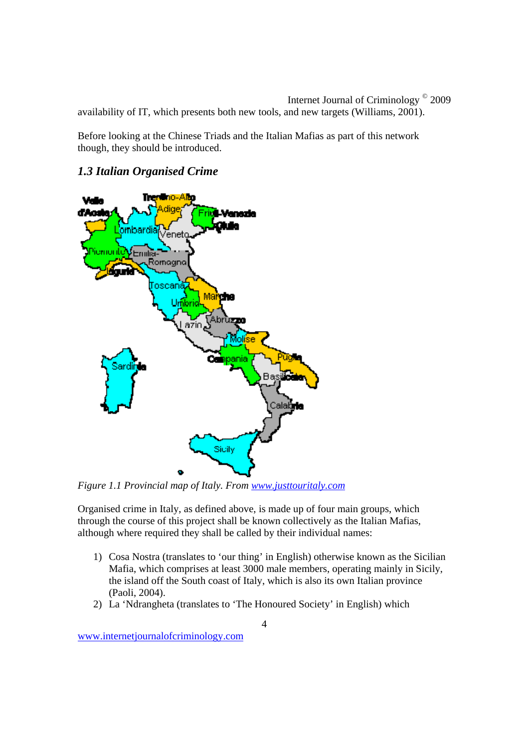Internet Journal of Criminology © 2009 availability of IT, which presents both new tools, and new targets (Williams, 2001).

Before looking at the Chinese Triads and the Italian Mafias as part of this network though, they should be introduced.

## *1.3 Italian Organised Crime*



*Figure 1.1 Provincial map of Italy. From www.justtouritaly.com* 

Organised crime in Italy, as defined above, is made up of four main groups, which through the course of this project shall be known collectively as the Italian Mafias, although where required they shall be called by their individual names:

- 1) Cosa Nostra (translates to 'our thing' in English) otherwise known as the Sicilian Mafia, which comprises at least 3000 male members, operating mainly in Sicily, the island off the South coast of Italy, which is also its own Italian province (Paoli, 2004).
- 2) La 'Ndrangheta (translates to 'The Honoured Society' in English) which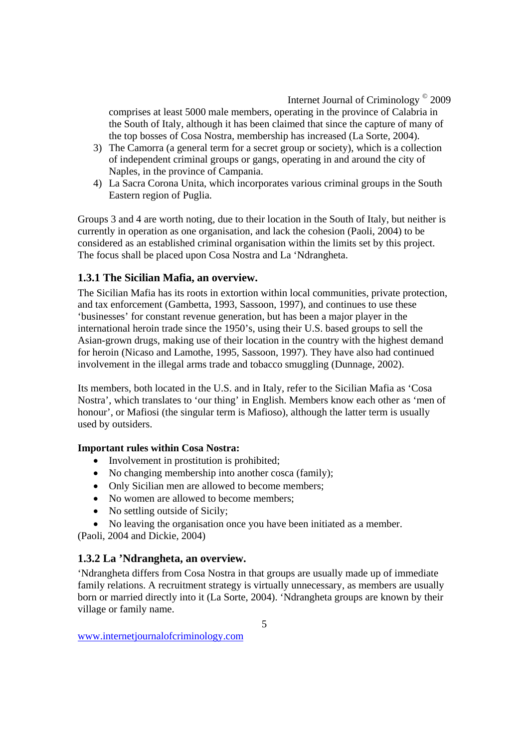comprises at least 5000 male members, operating in the province of Calabria in the South of Italy, although it has been claimed that since the capture of many of the top bosses of Cosa Nostra, membership has increased (La Sorte, 2004).

- 3) The Camorra (a general term for a secret group or society), which is a collection of independent criminal groups or gangs, operating in and around the city of Naples, in the province of Campania.
- 4) La Sacra Corona Unita, which incorporates various criminal groups in the South Eastern region of Puglia.

Groups 3 and 4 are worth noting, due to their location in the South of Italy, but neither is currently in operation as one organisation, and lack the cohesion (Paoli, 2004) to be considered as an established criminal organisation within the limits set by this project. The focus shall be placed upon Cosa Nostra and La 'Ndrangheta.

## **1.3.1 The Sicilian Mafia, an overview.**

The Sicilian Mafia has its roots in extortion within local communities, private protection, and tax enforcement (Gambetta, 1993, Sassoon, 1997), and continues to use these 'businesses' for constant revenue generation, but has been a major player in the international heroin trade since the 1950's, using their U.S. based groups to sell the Asian-grown drugs, making use of their location in the country with the highest demand for heroin (Nicaso and Lamothe, 1995, Sassoon, 1997). They have also had continued involvement in the illegal arms trade and tobacco smuggling (Dunnage, 2002).

Its members, both located in the U.S. and in Italy, refer to the Sicilian Mafia as 'Cosa Nostra', which translates to 'our thing' in English. Members know each other as 'men of honour', or Mafiosi (the singular term is Mafioso), although the latter term is usually used by outsiders.

## **Important rules within Cosa Nostra:**

- Involvement in prostitution is prohibited;
- No changing membership into another cosca (family);
- Only Sicilian men are allowed to become members:
- No women are allowed to become members;
- No settling outside of Sicily;
- No leaving the organisation once you have been initiated as a member.

(Paoli, 2004 and Dickie, 2004)

## **1.3.2 La 'Ndrangheta, an overview.**

'Ndrangheta differs from Cosa Nostra in that groups are usually made up of immediate family relations. A recruitment strategy is virtually unnecessary, as members are usually born or married directly into it (La Sorte, 2004). 'Ndrangheta groups are known by their village or family name.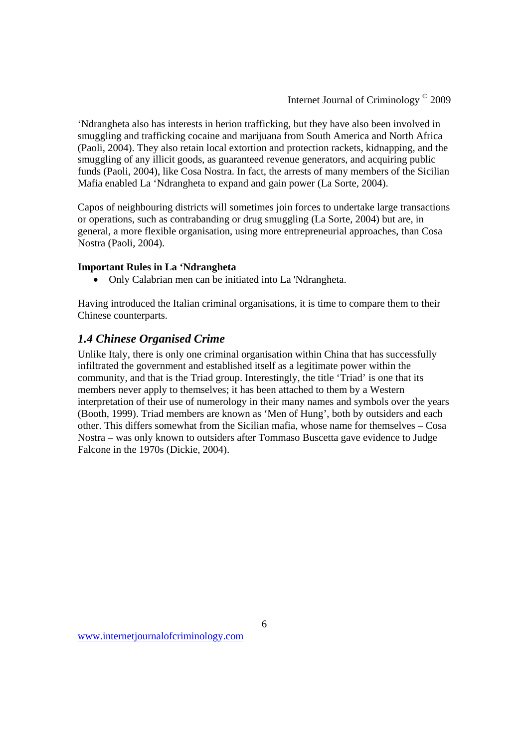'Ndrangheta also has interests in herion trafficking, but they have also been involved in smuggling and trafficking cocaine and marijuana from South America and North Africa (Paoli, 2004). They also retain local extortion and protection rackets, kidnapping, and the smuggling of any illicit goods, as guaranteed revenue generators, and acquiring public funds (Paoli, 2004), like Cosa Nostra. In fact, the arrests of many members of the Sicilian Mafia enabled La 'Ndrangheta to expand and gain power (La Sorte, 2004).

Capos of neighbouring districts will sometimes join forces to undertake large transactions or operations, such as contrabanding or drug smuggling (La Sorte, 2004) but are, in general, a more flexible organisation, using more entrepreneurial approaches, than Cosa Nostra (Paoli, 2004).

#### **Important Rules in La 'Ndrangheta**

Only Calabrian men can be initiated into La 'Ndrangheta.

Having introduced the Italian criminal organisations, it is time to compare them to their Chinese counterparts.

## *1.4 Chinese Organised Crime*

Unlike Italy, there is only one criminal organisation within China that has successfully infiltrated the government and established itself as a legitimate power within the community, and that is the Triad group. Interestingly, the title 'Triad' is one that its members never apply to themselves; it has been attached to them by a Western interpretation of their use of numerology in their many names and symbols over the years (Booth, 1999). Triad members are known as 'Men of Hung', both by outsiders and each other. This differs somewhat from the Sicilian mafia, whose name for themselves – Cosa Nostra – was only known to outsiders after Tommaso Buscetta gave evidence to Judge Falcone in the 1970s (Dickie, 2004).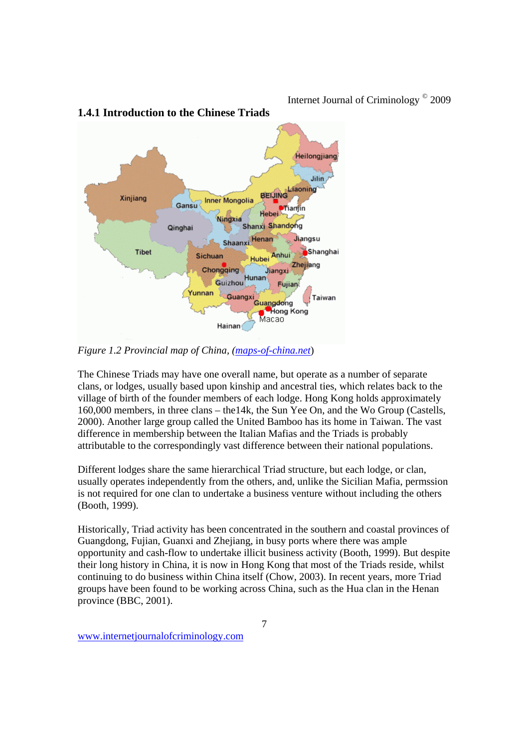

## **1.4.1 Introduction to the Chinese Triads**

*Figure 1.2 Provincial map of China, (maps-of-china.net*)

The Chinese Triads may have one overall name, but operate as a number of separate clans, or lodges, usually based upon kinship and ancestral ties, which relates back to the village of birth of the founder members of each lodge. Hong Kong holds approximately 160,000 members, in three clans – the14k, the Sun Yee On, and the Wo Group (Castells, 2000). Another large group called the United Bamboo has its home in Taiwan. The vast difference in membership between the Italian Mafias and the Triads is probably attributable to the correspondingly vast difference between their national populations.

Different lodges share the same hierarchical Triad structure, but each lodge, or clan, usually operates independently from the others, and, unlike the Sicilian Mafia, permssion is not required for one clan to undertake a business venture without including the others (Booth, 1999).

Historically, Triad activity has been concentrated in the southern and coastal provinces of Guangdong, Fujian, Guanxi and Zhejiang, in busy ports where there was ample opportunity and cash-flow to undertake illicit business activity (Booth, 1999). But despite their long history in China, it is now in Hong Kong that most of the Triads reside, whilst continuing to do business within China itself (Chow, 2003). In recent years, more Triad groups have been found to be working across China, such as the Hua clan in the Henan province (BBC, 2001).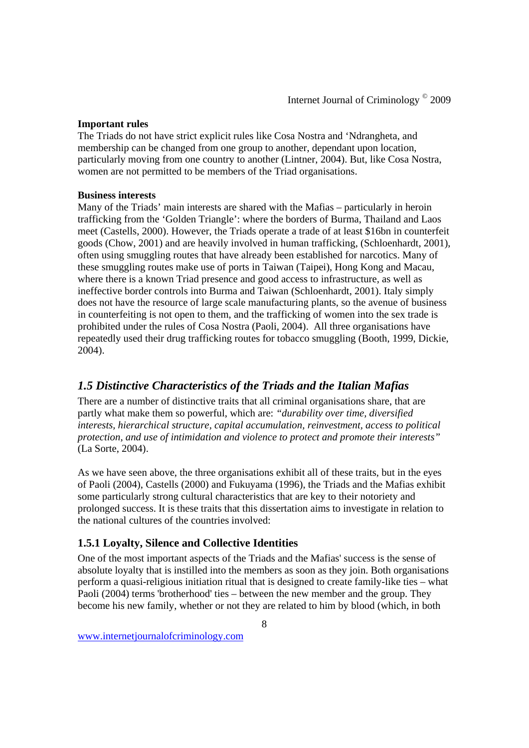## **Important rules**

The Triads do not have strict explicit rules like Cosa Nostra and 'Ndrangheta, and membership can be changed from one group to another, dependant upon location, particularly moving from one country to another (Lintner, 2004). But, like Cosa Nostra, women are not permitted to be members of the Triad organisations.

### **Business interests**

Many of the Triads' main interests are shared with the Mafias – particularly in heroin trafficking from the 'Golden Triangle': where the borders of Burma, Thailand and Laos meet (Castells, 2000). However, the Triads operate a trade of at least \$16bn in counterfeit goods (Chow, 2001) and are heavily involved in human trafficking, (Schloenhardt, 2001), often using smuggling routes that have already been established for narcotics. Many of these smuggling routes make use of ports in Taiwan (Taipei), Hong Kong and Macau, where there is a known Triad presence and good access to infrastructure, as well as ineffective border controls into Burma and Taiwan (Schloenhardt, 2001). Italy simply does not have the resource of large scale manufacturing plants, so the avenue of business in counterfeiting is not open to them, and the trafficking of women into the sex trade is prohibited under the rules of Cosa Nostra (Paoli, 2004). All three organisations have repeatedly used their drug trafficking routes for tobacco smuggling (Booth, 1999, Dickie, 2004).

## *1.5 Distinctive Characteristics of the Triads and the Italian Mafias*

There are a number of distinctive traits that all criminal organisations share, that are partly what make them so powerful, which are: *"durability over time, diversified interests, hierarchical structure, capital accumulation, reinvestment, access to political protection, and use of intimidation and violence to protect and promote their interests"* (La Sorte, 2004).

As we have seen above, the three organisations exhibit all of these traits, but in the eyes of Paoli (2004), Castells (2000) and Fukuyama (1996), the Triads and the Mafias exhibit some particularly strong cultural characteristics that are key to their notoriety and prolonged success. It is these traits that this dissertation aims to investigate in relation to the national cultures of the countries involved:

## **1.5.1 Loyalty, Silence and Collective Identities**

One of the most important aspects of the Triads and the Mafias' success is the sense of absolute loyalty that is instilled into the members as soon as they join. Both organisations perform a quasi-religious initiation ritual that is designed to create family-like ties – what Paoli (2004) terms 'brotherhood' ties – between the new member and the group. They become his new family, whether or not they are related to him by blood (which, in both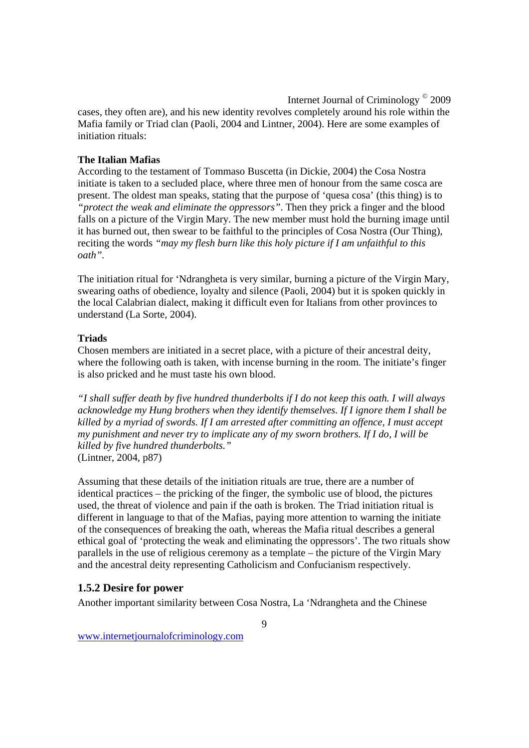Internet Journal of Criminology © 2009 cases, they often are), and his new identity revolves completely around his role within the Mafia family or Triad clan (Paoli, 2004 and Lintner, 2004). Here are some examples of initiation rituals:

#### **The Italian Mafias**

According to the testament of Tommaso Buscetta (in Dickie, 2004) the Cosa Nostra initiate is taken to a secluded place, where three men of honour from the same cosca are present. The oldest man speaks, stating that the purpose of 'quesa cosa' (this thing) is to *"protect the weak and eliminate the oppressors"*. Then they prick a finger and the blood falls on a picture of the Virgin Mary. The new member must hold the burning image until it has burned out, then swear to be faithful to the principles of Cosa Nostra (Our Thing), reciting the words *"may my flesh burn like this holy picture if I am unfaithful to this oath".* 

The initiation ritual for 'Ndrangheta is very similar, burning a picture of the Virgin Mary, swearing oaths of obedience, loyalty and silence (Paoli, 2004) but it is spoken quickly in the local Calabrian dialect, making it difficult even for Italians from other provinces to understand (La Sorte, 2004).

#### **Triads**

Chosen members are initiated in a secret place, with a picture of their ancestral deity, where the following oath is taken, with incense burning in the room. The initiate's finger is also pricked and he must taste his own blood.

*"I shall suffer death by five hundred thunderbolts if I do not keep this oath. I will always acknowledge my Hung brothers when they identify themselves. If I ignore them I shall be killed by a myriad of swords. If I am arrested after committing an offence, I must accept my punishment and never try to implicate any of my sworn brothers. If I do, I will be killed by five hundred thunderbolts."*  (Lintner, 2004, p87)

Assuming that these details of the initiation rituals are true, there are a number of identical practices – the pricking of the finger, the symbolic use of blood, the pictures used, the threat of violence and pain if the oath is broken. The Triad initiation ritual is different in language to that of the Mafias, paying more attention to warning the initiate of the consequences of breaking the oath, whereas the Mafia ritual describes a general ethical goal of 'protecting the weak and eliminating the oppressors'. The two rituals show parallels in the use of religious ceremony as a template – the picture of the Virgin Mary and the ancestral deity representing Catholicism and Confucianism respectively.

#### **1.5.2 Desire for power**

Another important similarity between Cosa Nostra, La 'Ndrangheta and the Chinese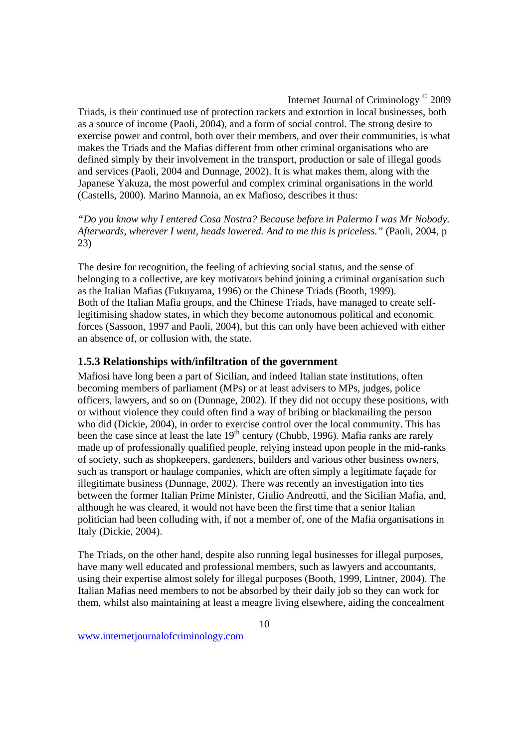Triads, is their continued use of protection rackets and extortion in local businesses, both as a source of income (Paoli, 2004), and a form of social control. The strong desire to exercise power and control, both over their members, and over their communities, is what makes the Triads and the Mafias different from other criminal organisations who are defined simply by their involvement in the transport, production or sale of illegal goods and services (Paoli, 2004 and Dunnage, 2002). It is what makes them, along with the Japanese Yakuza, the most powerful and complex criminal organisations in the world (Castells, 2000). Marino Mannoia, an ex Mafioso, describes it thus:

*"Do you know why I entered Cosa Nostra? Because before in Palermo I was Mr Nobody. Afterwards, wherever I went, heads lowered. And to me this is priceless."* (Paoli, 2004, p 23)

The desire for recognition, the feeling of achieving social status, and the sense of belonging to a collective, are key motivators behind joining a criminal organisation such as the Italian Mafias (Fukuyama, 1996) or the Chinese Triads (Booth, 1999). Both of the Italian Mafia groups, and the Chinese Triads, have managed to create selflegitimising shadow states, in which they become autonomous political and economic forces (Sassoon, 1997 and Paoli, 2004), but this can only have been achieved with either an absence of, or collusion with, the state.

## **1.5.3 Relationships with/infiltration of the government**

Mafiosi have long been a part of Sicilian, and indeed Italian state institutions, often becoming members of parliament (MPs) or at least advisers to MPs, judges, police officers, lawyers, and so on (Dunnage, 2002). If they did not occupy these positions, with or without violence they could often find a way of bribing or blackmailing the person who did (Dickie, 2004), in order to exercise control over the local community. This has been the case since at least the late  $19<sup>th</sup>$  century (Chubb, 1996). Mafia ranks are rarely made up of professionally qualified people, relying instead upon people in the mid-ranks of society, such as shopkeepers, gardeners, builders and various other business owners, such as transport or haulage companies, which are often simply a legitimate façade for illegitimate business (Dunnage, 2002). There was recently an investigation into ties between the former Italian Prime Minister, Giulio Andreotti, and the Sicilian Mafia, and, although he was cleared, it would not have been the first time that a senior Italian politician had been colluding with, if not a member of, one of the Mafia organisations in Italy (Dickie, 2004).

The Triads, on the other hand, despite also running legal businesses for illegal purposes, have many well educated and professional members, such as lawyers and accountants, using their expertise almost solely for illegal purposes (Booth, 1999, Lintner, 2004). The Italian Mafias need members to not be absorbed by their daily job so they can work for them, whilst also maintaining at least a meagre living elsewhere, aiding the concealment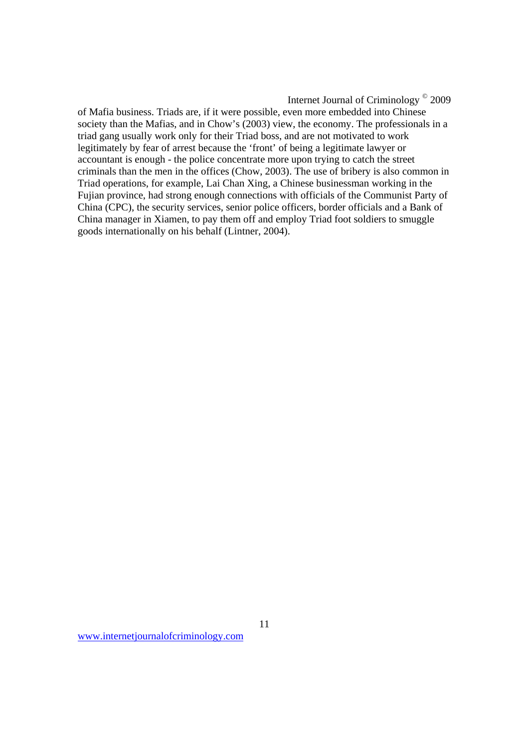of Mafia business. Triads are, if it were possible, even more embedded into Chinese society than the Mafias, and in Chow's (2003) view, the economy. The professionals in a triad gang usually work only for their Triad boss, and are not motivated to work legitimately by fear of arrest because the 'front' of being a legitimate lawyer or accountant is enough - the police concentrate more upon trying to catch the street criminals than the men in the offices (Chow, 2003). The use of bribery is also common in Triad operations, for example, Lai Chan Xing, a Chinese businessman working in the Fujian province, had strong enough connections with officials of the Communist Party of China (CPC), the security services, senior police officers, border officials and a Bank of China manager in Xiamen, to pay them off and employ Triad foot soldiers to smuggle goods internationally on his behalf (Lintner, 2004).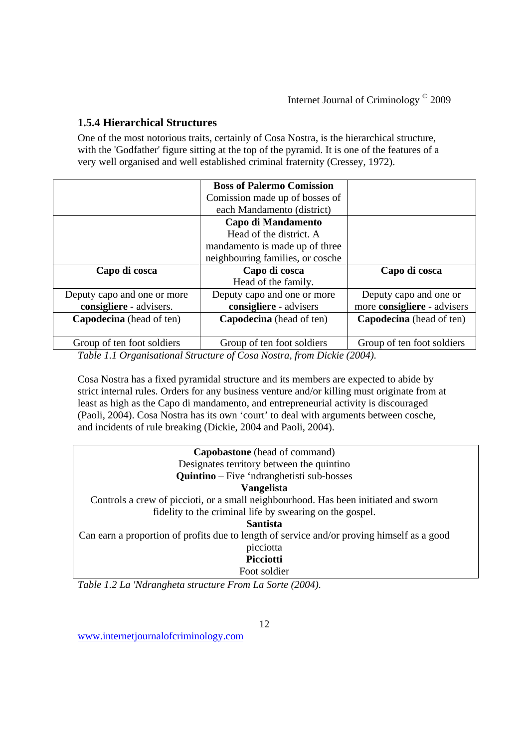## **1.5.4 Hierarchical Structures**

One of the most notorious traits, certainly of Cosa Nostra, is the hierarchical structure, with the 'Godfather' figure sitting at the top of the pyramid. It is one of the features of a very well organised and well established criminal fraternity (Cressey, 1972).

|                                 | <b>Boss of Palermo Comission</b> |                                 |
|---------------------------------|----------------------------------|---------------------------------|
|                                 | Comission made up of bosses of   |                                 |
|                                 | each Mandamento (district)       |                                 |
| Capo di Mandamento              |                                  |                                 |
|                                 | Head of the district. A          |                                 |
|                                 | mandamento is made up of three   |                                 |
|                                 | neighbouring families, or cosche |                                 |
| Capo di cosca                   | Capo di cosca                    | Capo di cosca                   |
|                                 | Head of the family.              |                                 |
| Deputy capo and one or more     | Deputy capo and one or more      | Deputy capo and one or          |
| consigliere - advisers.         | consigliere - advisers           | more consigliere - advisers     |
| <b>Capodecina</b> (head of ten) | <b>Capodecina</b> (head of ten)  | <b>Capodecina</b> (head of ten) |
|                                 |                                  |                                 |
| Group of ten foot soldiers      | Group of ten foot soldiers       | Group of ten foot soldiers      |

*Table 1.1 Organisational Structure of Cosa Nostra, from Dickie (2004).* 

Cosa Nostra has a fixed pyramidal structure and its members are expected to abide by strict internal rules. Orders for any business venture and/or killing must originate from at least as high as the Capo di mandamento, and entrepreneurial activity is discouraged (Paoli, 2004). Cosa Nostra has its own 'court' to deal with arguments between cosche, and incidents of rule breaking (Dickie, 2004 and Paoli, 2004).

| <b>Capobastone</b> (head of command)                                                               |  |  |  |
|----------------------------------------------------------------------------------------------------|--|--|--|
| Designates territory between the quintino                                                          |  |  |  |
| <b>Quintino</b> – Five 'ndranghetisti sub-bosses                                                   |  |  |  |
| <b>Vangelista</b>                                                                                  |  |  |  |
| Controls a crew of piccioti, or a small neighbourhood. Has been initiated and sworn                |  |  |  |
| fidelity to the criminal life by swearing on the gospel.                                           |  |  |  |
| <b>Santista</b>                                                                                    |  |  |  |
| Can earn a proportion of profits due to length of service and/or proving himself as a good         |  |  |  |
| picciotta                                                                                          |  |  |  |
| Picciotti                                                                                          |  |  |  |
| Foot soldier                                                                                       |  |  |  |
| $TabL0$ , 1, 2, I a W duan ale at $\alpha$ at $\alpha$ at $\alpha$ at $\alpha$ and $\alpha$ (2001) |  |  |  |

*Table 1.2 La 'Ndrangheta structure From La Sorte (2004).*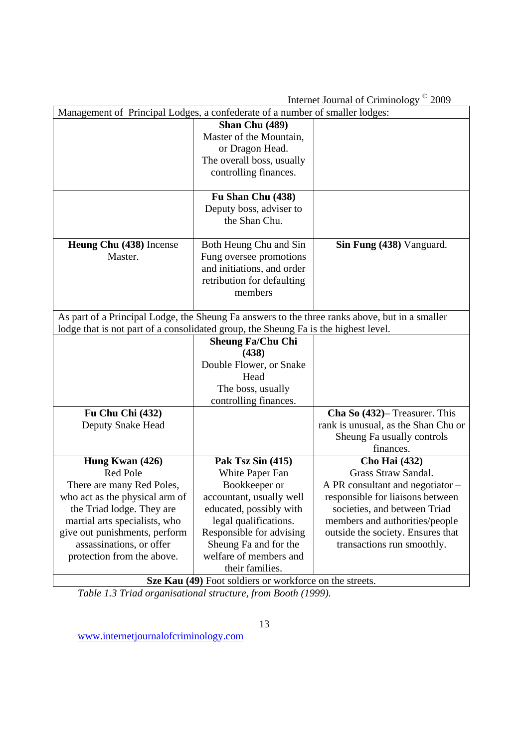Internet Journal of Criminology<sup>©</sup> 2000

| Internet Journal of Criminology<br>2009                                                        |                            |                                     |  |
|------------------------------------------------------------------------------------------------|----------------------------|-------------------------------------|--|
| Management of Principal Lodges, a confederate of a number of smaller lodges:                   |                            |                                     |  |
|                                                                                                | Shan Chu (489)             |                                     |  |
|                                                                                                | Master of the Mountain,    |                                     |  |
|                                                                                                | or Dragon Head.            |                                     |  |
|                                                                                                | The overall boss, usually  |                                     |  |
|                                                                                                | controlling finances.      |                                     |  |
|                                                                                                |                            |                                     |  |
|                                                                                                | Fu Shan Chu (438)          |                                     |  |
|                                                                                                | Deputy boss, adviser to    |                                     |  |
|                                                                                                | the Shan Chu.              |                                     |  |
|                                                                                                |                            |                                     |  |
| Heung Chu (438) Incense                                                                        | Both Heung Chu and Sin     | Sin Fung (438) Vanguard.            |  |
| Master.                                                                                        | Fung oversee promotions    |                                     |  |
|                                                                                                | and initiations, and order |                                     |  |
|                                                                                                | retribution for defaulting |                                     |  |
|                                                                                                | members                    |                                     |  |
|                                                                                                |                            |                                     |  |
| As part of a Principal Lodge, the Sheung Fa answers to the three ranks above, but in a smaller |                            |                                     |  |
| lodge that is not part of a consolidated group, the Sheung Fa is the highest level.            |                            |                                     |  |
|                                                                                                | <b>Sheung Fa/Chu Chi</b>   |                                     |  |
|                                                                                                | (438)                      |                                     |  |
|                                                                                                | Double Flower, or Snake    |                                     |  |
|                                                                                                | Head                       |                                     |  |
|                                                                                                | The boss, usually          |                                     |  |
|                                                                                                | controlling finances.      |                                     |  |
| Fu Chu Chi (432)                                                                               |                            | Cha So (432)– Treasurer. This       |  |
| Deputy Snake Head                                                                              |                            | rank is unusual, as the Shan Chu or |  |
|                                                                                                |                            | Sheung Fa usually controls          |  |
|                                                                                                |                            | finances.                           |  |
| Hung Kwan (426)                                                                                | Pak Tsz Sin (415)          | <b>Cho Hai (432)</b>                |  |
| Red Pole                                                                                       | White Paper Fan            | Grass Straw Sandal.                 |  |
| There are many Red Poles,                                                                      | Bookkeeper or              | A PR consultant and negotiator -    |  |
| who act as the physical arm of                                                                 | accountant, usually well   | responsible for liaisons between    |  |
| the Triad lodge. They are                                                                      | educated, possibly with    | societies, and between Triad        |  |
| martial arts specialists, who                                                                  | legal qualifications.      | members and authorities/people      |  |
| give out punishments, perform                                                                  | Responsible for advising   | outside the society. Ensures that   |  |
| assassinations, or offer                                                                       | Sheung Fa and for the      | transactions run smoothly.          |  |
| protection from the above.                                                                     | welfare of members and     |                                     |  |
|                                                                                                | their families.            |                                     |  |
| Sze Kau (49) Foot soldiers or workforce on the streets.                                        |                            |                                     |  |

*Table 1.3 Triad organisational structure, from Booth (1999).*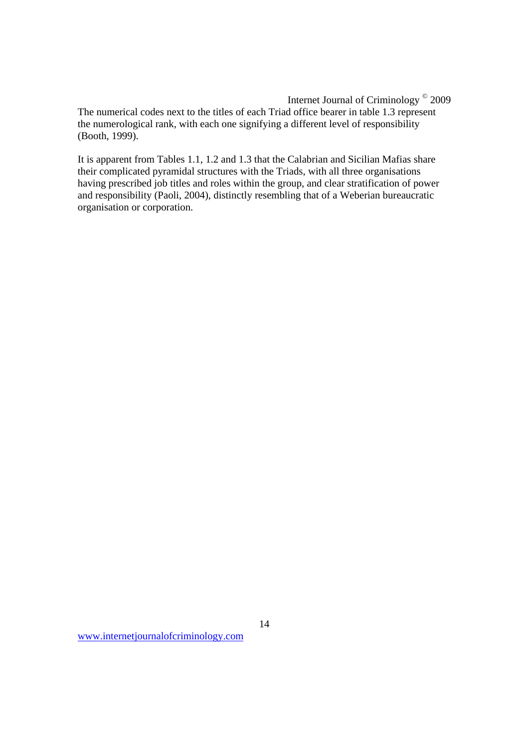The numerical codes next to the titles of each Triad office bearer in table 1.3 represent the numerological rank, with each one signifying a different level of responsibility (Booth, 1999).

It is apparent from Tables 1.1, 1.2 and 1.3 that the Calabrian and Sicilian Mafias share their complicated pyramidal structures with the Triads, with all three organisations having prescribed job titles and roles within the group, and clear stratification of power and responsibility (Paoli, 2004), distinctly resembling that of a Weberian bureaucratic organisation or corporation.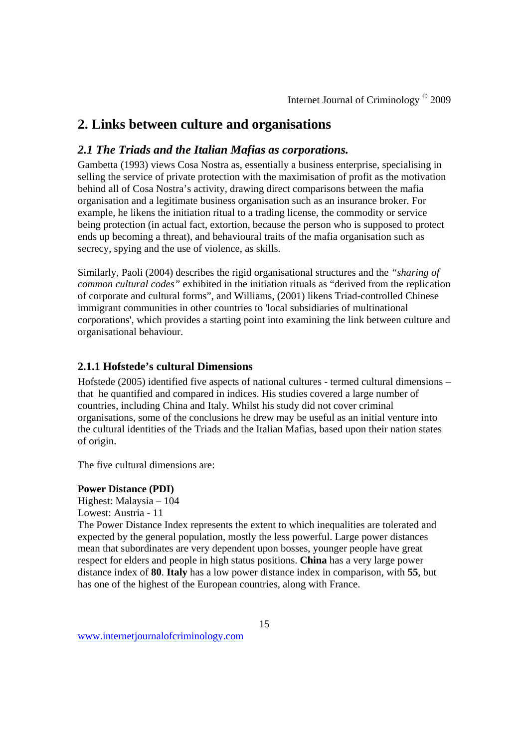## **2. Links between culture and organisations**

## *2.1 The Triads and the Italian Mafias as corporations.*

Gambetta (1993) views Cosa Nostra as, essentially a business enterprise, specialising in selling the service of private protection with the maximisation of profit as the motivation behind all of Cosa Nostra's activity, drawing direct comparisons between the mafia organisation and a legitimate business organisation such as an insurance broker. For example, he likens the initiation ritual to a trading license, the commodity or service being protection (in actual fact, extortion, because the person who is supposed to protect ends up becoming a threat), and behavioural traits of the mafia organisation such as secrecy, spying and the use of violence, as skills.

Similarly, Paoli (2004) describes the rigid organisational structures and the *"sharing of common cultural codes"* exhibited in the initiation rituals as "derived from the replication of corporate and cultural forms", and Williams, (2001) likens Triad-controlled Chinese immigrant communities in other countries to 'local subsidiaries of multinational corporations', which provides a starting point into examining the link between culture and organisational behaviour.

## **2.1.1 Hofstede's cultural Dimensions**

Hofstede (2005) identified five aspects of national cultures - termed cultural dimensions – that he quantified and compared in indices. His studies covered a large number of countries, including China and Italy. Whilst his study did not cover criminal organisations, some of the conclusions he drew may be useful as an initial venture into the cultural identities of the Triads and the Italian Mafias, based upon their nation states of origin.

The five cultural dimensions are:

#### **Power Distance (PDI)**

Highest: Malaysia – 104 Lowest: Austria - 11

The Power Distance Index represents the extent to which inequalities are tolerated and expected by the general population, mostly the less powerful. Large power distances mean that subordinates are very dependent upon bosses, younger people have great respect for elders and people in high status positions. **China** has a very large power distance index of **80**. **Italy** has a low power distance index in comparison, with **55**, but has one of the highest of the European countries, along with France.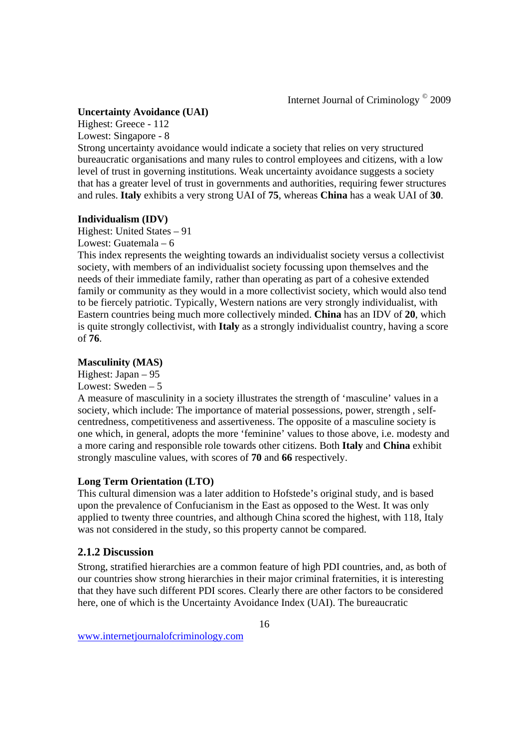#### **Uncertainty Avoidance (UAI)**

Highest: Greece - 112

Lowest: Singapore - 8

Strong uncertainty avoidance would indicate a society that relies on very structured bureaucratic organisations and many rules to control employees and citizens, with a low level of trust in governing institutions. Weak uncertainty avoidance suggests a society that has a greater level of trust in governments and authorities, requiring fewer structures and rules. **Italy** exhibits a very strong UAI of **75**, whereas **China** has a weak UAI of **30**.

## **Individualism (IDV)**

Highest: United States – 91 Lowest: Guatemala – 6

This index represents the weighting towards an individualist society versus a collectivist society, with members of an individualist society focussing upon themselves and the needs of their immediate family, rather than operating as part of a cohesive extended family or community as they would in a more collectivist society, which would also tend to be fiercely patriotic. Typically, Western nations are very strongly individualist, with Eastern countries being much more collectively minded. **China** has an IDV of **20**, which is quite strongly collectivist, with **Italy** as a strongly individualist country, having a score of **76**.

## **Masculinity (MAS)**

Highest: Japan – 95 Lowest: Sweden – 5

A measure of masculinity in a society illustrates the strength of 'masculine' values in a society, which include: The importance of material possessions, power, strength , selfcentredness, competitiveness and assertiveness. The opposite of a masculine society is one which, in general, adopts the more 'feminine' values to those above, i.e. modesty and a more caring and responsible role towards other citizens. Both **Italy** and **China** exhibit strongly masculine values, with scores of **70** and **66** respectively.

## **Long Term Orientation (LTO)**

This cultural dimension was a later addition to Hofstede's original study, and is based upon the prevalence of Confucianism in the East as opposed to the West. It was only applied to twenty three countries, and although China scored the highest, with 118, Italy was not considered in the study, so this property cannot be compared.

## **2.1.2 Discussion**

Strong, stratified hierarchies are a common feature of high PDI countries, and, as both of our countries show strong hierarchies in their major criminal fraternities, it is interesting that they have such different PDI scores. Clearly there are other factors to be considered here, one of which is the Uncertainty Avoidance Index (UAI). The bureaucratic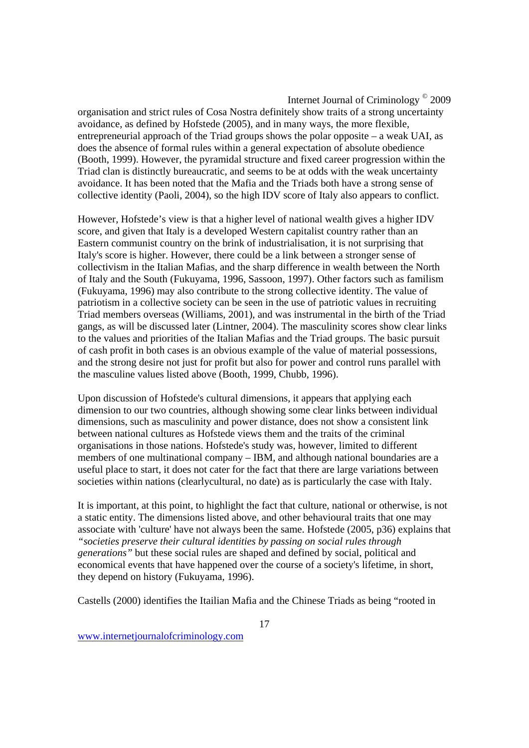organisation and strict rules of Cosa Nostra definitely show traits of a strong uncertainty avoidance, as defined by Hofstede (2005), and in many ways, the more flexible, entrepreneurial approach of the Triad groups shows the polar opposite – a weak UAI, as does the absence of formal rules within a general expectation of absolute obedience (Booth, 1999). However, the pyramidal structure and fixed career progression within the Triad clan is distinctly bureaucratic, and seems to be at odds with the weak uncertainty avoidance. It has been noted that the Mafia and the Triads both have a strong sense of collective identity (Paoli, 2004), so the high IDV score of Italy also appears to conflict.

However, Hofstede's view is that a higher level of national wealth gives a higher IDV score, and given that Italy is a developed Western capitalist country rather than an Eastern communist country on the brink of industrialisation, it is not surprising that Italy's score is higher. However, there could be a link between a stronger sense of collectivism in the Italian Mafias, and the sharp difference in wealth between the North of Italy and the South (Fukuyama, 1996, Sassoon, 1997). Other factors such as familism (Fukuyama, 1996) may also contribute to the strong collective identity. The value of patriotism in a collective society can be seen in the use of patriotic values in recruiting Triad members overseas (Williams, 2001), and was instrumental in the birth of the Triad gangs, as will be discussed later (Lintner, 2004). The masculinity scores show clear links to the values and priorities of the Italian Mafias and the Triad groups. The basic pursuit of cash profit in both cases is an obvious example of the value of material possessions, and the strong desire not just for profit but also for power and control runs parallel with the masculine values listed above (Booth, 1999, Chubb, 1996).

Upon discussion of Hofstede's cultural dimensions, it appears that applying each dimension to our two countries, although showing some clear links between individual dimensions, such as masculinity and power distance, does not show a consistent link between national cultures as Hofstede views them and the traits of the criminal organisations in those nations. Hofstede's study was, however, limited to different members of one multinational company – IBM, and although national boundaries are a useful place to start, it does not cater for the fact that there are large variations between societies within nations (clearlycultural, no date) as is particularly the case with Italy.

It is important, at this point, to highlight the fact that culture, national or otherwise, is not a static entity. The dimensions listed above, and other behavioural traits that one may associate with 'culture' have not always been the same. Hofstede (2005, p36) explains that *"societies preserve their cultural identities by passing on social rules through generations"* but these social rules are shaped and defined by social, political and economical events that have happened over the course of a society's lifetime, in short, they depend on history (Fukuyama, 1996).

Castells (2000) identifies the Itailian Mafia and the Chinese Triads as being "rooted in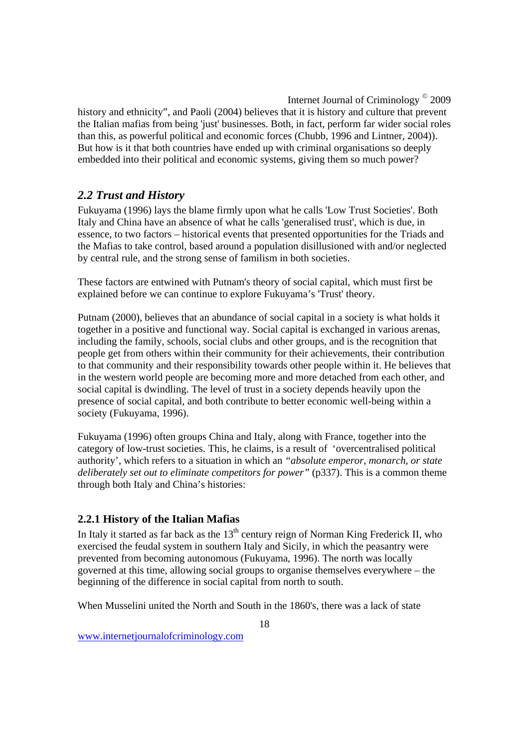history and ethnicity", and Paoli (2004) believes that it is history and culture that prevent the Italian mafias from being 'just' businesses. Both, in fact, perform far wider social roles than this, as powerful political and economic forces (Chubb, 1996 and Lintner, 2004)). But how is it that both countries have ended up with criminal organisations so deeply embedded into their political and economic systems, giving them so much power?

## *2.2 Trust and History*

Fukuyama (1996) lays the blame firmly upon what he calls 'Low Trust Societies'. Both Italy and China have an absence of what he calls 'generalised trust', which is due, in essence, to two factors – historical events that presented opportunities for the Triads and the Mafias to take control, based around a population disillusioned with and/or neglected by central rule, and the strong sense of familism in both societies.

These factors are entwined with Putnam's theory of social capital, which must first be explained before we can continue to explore Fukuyama's 'Trust' theory.

Putnam (2000), believes that an abundance of social capital in a society is what holds it together in a positive and functional way. Social capital is exchanged in various arenas, including the family, schools, social clubs and other groups, and is the recognition that people get from others within their community for their achievements, their contribution to that community and their responsibility towards other people within it. He believes that in the western world people are becoming more and more detached from each other, and social capital is dwindling. The level of trust in a society depends heavily upon the presence of social capital, and both contribute to better economic well-being within a society (Fukuyama, 1996).

Fukuyama (1996) often groups China and Italy, along with France, together into the category of low-trust societies. This, he claims, is a result of 'overcentralised political authority', which refers to a situation in which an *"absolute emperor, monarch, or state deliberately set out to eliminate competitors for power"* (p337). This is a common theme through both Italy and China's histories:

## **2.2.1 History of the Italian Mafias**

In Italy it started as far back as the  $13<sup>th</sup>$  century reign of Norman King Frederick II, who exercised the feudal system in southern Italy and Sicily, in which the peasantry were prevented from becoming autonomous (Fukuyama, 1996). The north was locally governed at this time, allowing social groups to organise themselves everywhere – the beginning of the difference in social capital from north to south.

When Musselini united the North and South in the 1860's, there was a lack of state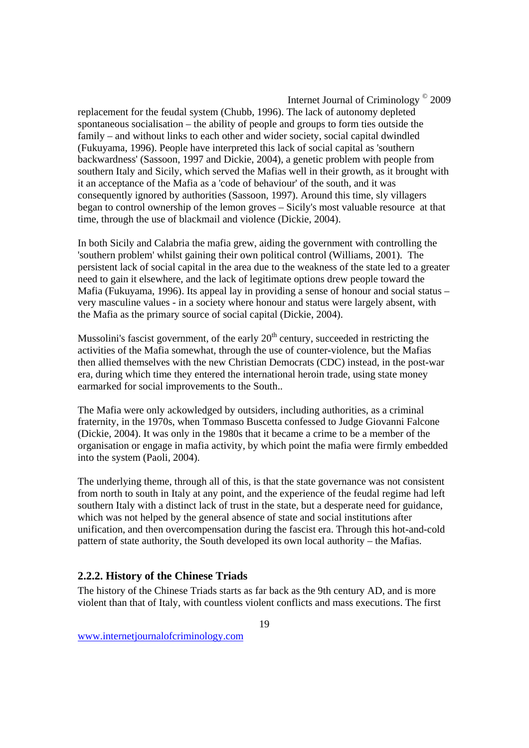replacement for the feudal system (Chubb, 1996). The lack of autonomy depleted spontaneous socialisation – the ability of people and groups to form ties outside the family – and without links to each other and wider society, social capital dwindled (Fukuyama, 1996). People have interpreted this lack of social capital as 'southern backwardness' (Sassoon, 1997 and Dickie, 2004), a genetic problem with people from southern Italy and Sicily, which served the Mafias well in their growth, as it brought with it an acceptance of the Mafia as a 'code of behaviour' of the south, and it was consequently ignored by authorities (Sassoon, 1997). Around this time, sly villagers began to control ownership of the lemon groves – Sicily's most valuable resource at that time, through the use of blackmail and violence (Dickie, 2004).

In both Sicily and Calabria the mafia grew, aiding the government with controlling the 'southern problem' whilst gaining their own political control (Williams, 2001). The persistent lack of social capital in the area due to the weakness of the state led to a greater need to gain it elsewhere, and the lack of legitimate options drew people toward the Mafia (Fukuyama, 1996). Its appeal lay in providing a sense of honour and social status – very masculine values - in a society where honour and status were largely absent, with the Mafia as the primary source of social capital (Dickie, 2004).

Mussolini's fascist government, of the early  $20<sup>th</sup>$  century, succeeded in restricting the activities of the Mafia somewhat, through the use of counter-violence, but the Mafias then allied themselves with the new Christian Democrats (CDC) instead, in the post-war era, during which time they entered the international heroin trade, using state money earmarked for social improvements to the South..

The Mafia were only ackowledged by outsiders, including authorities, as a criminal fraternity, in the 1970s, when Tommaso Buscetta confessed to Judge Giovanni Falcone (Dickie, 2004). It was only in the 1980s that it became a crime to be a member of the organisation or engage in mafia activity, by which point the mafia were firmly embedded into the system (Paoli, 2004).

The underlying theme, through all of this, is that the state governance was not consistent from north to south in Italy at any point, and the experience of the feudal regime had left southern Italy with a distinct lack of trust in the state, but a desperate need for guidance, which was not helped by the general absence of state and social institutions after unification, and then overcompensation during the fascist era. Through this hot-and-cold pattern of state authority, the South developed its own local authority – the Mafias.

## **2.2.2. History of the Chinese Triads**

The history of the Chinese Triads starts as far back as the 9th century AD, and is more violent than that of Italy, with countless violent conflicts and mass executions. The first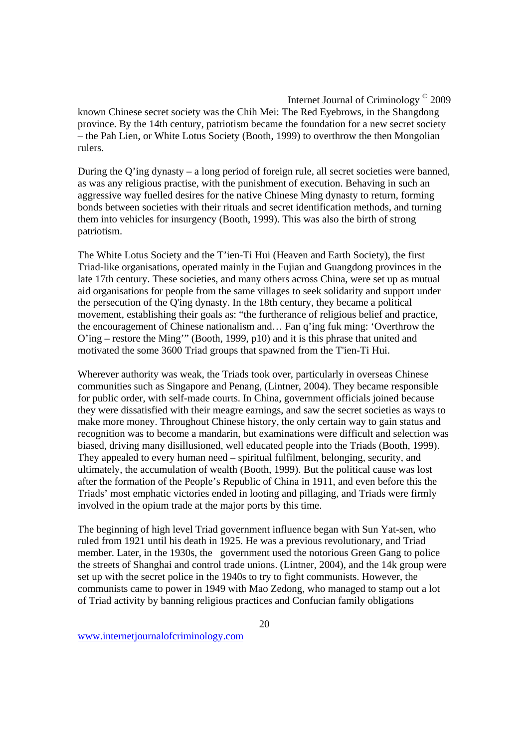known Chinese secret society was the Chih Mei: The Red Eyebrows, in the Shangdong province. By the 14th century, patriotism became the foundation for a new secret society – the Pah Lien, or White Lotus Society (Booth, 1999) to overthrow the then Mongolian rulers.

During the Q'ing dynasty – a long period of foreign rule, all secret societies were banned, as was any religious practise, with the punishment of execution. Behaving in such an aggressive way fuelled desires for the native Chinese Ming dynasty to return, forming bonds between societies with their rituals and secret identification methods, and turning them into vehicles for insurgency (Booth, 1999). This was also the birth of strong patriotism.

The White Lotus Society and the T'ien-Ti Hui (Heaven and Earth Society), the first Triad-like organisations, operated mainly in the Fujian and Guangdong provinces in the late 17th century. These societies, and many others across China, were set up as mutual aid organisations for people from the same villages to seek solidarity and support under the persecution of the Q'ing dynasty. In the 18th century, they became a political movement, establishing their goals as: "the furtherance of religious belief and practice, the encouragement of Chinese nationalism and… Fan q'ing fuk ming: 'Overthrow the O'ing – restore the Ming'" (Booth, 1999, p10) and it is this phrase that united and motivated the some 3600 Triad groups that spawned from the T'ien-Ti Hui.

Wherever authority was weak, the Triads took over, particularly in overseas Chinese communities such as Singapore and Penang, (Lintner, 2004). They became responsible for public order, with self-made courts. In China, government officials joined because they were dissatisfied with their meagre earnings, and saw the secret societies as ways to make more money. Throughout Chinese history, the only certain way to gain status and recognition was to become a mandarin, but examinations were difficult and selection was biased, driving many disillusioned, well educated people into the Triads (Booth, 1999). They appealed to every human need – spiritual fulfilment, belonging, security, and ultimately, the accumulation of wealth (Booth, 1999). But the political cause was lost after the formation of the People's Republic of China in 1911, and even before this the Triads' most emphatic victories ended in looting and pillaging, and Triads were firmly involved in the opium trade at the major ports by this time.

The beginning of high level Triad government influence began with Sun Yat-sen, who ruled from 1921 until his death in 1925. He was a previous revolutionary, and Triad member. Later, in the 1930s, the government used the notorious Green Gang to police the streets of Shanghai and control trade unions. (Lintner, 2004), and the 14k group were set up with the secret police in the 1940s to try to fight communists. However, the communists came to power in 1949 with Mao Zedong, who managed to stamp out a lot of Triad activity by banning religious practices and Confucian family obligations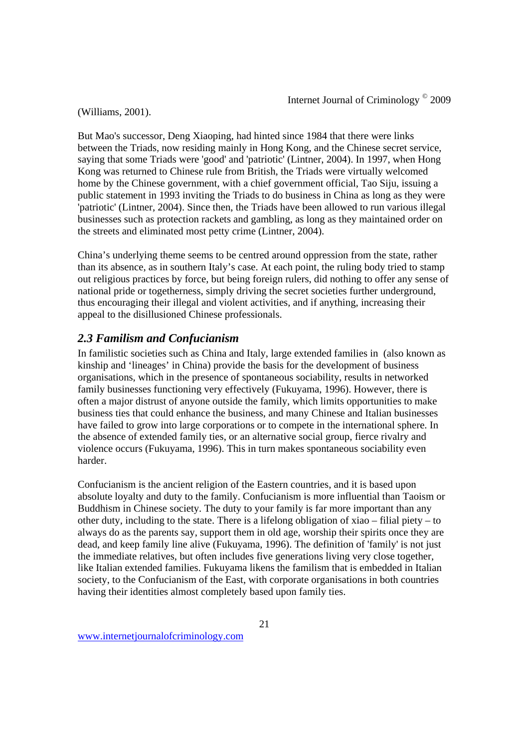(Williams, 2001).

But Mao's successor, Deng Xiaoping, had hinted since 1984 that there were links between the Triads, now residing mainly in Hong Kong, and the Chinese secret service, saying that some Triads were 'good' and 'patriotic' (Lintner, 2004). In 1997, when Hong Kong was returned to Chinese rule from British, the Triads were virtually welcomed home by the Chinese government, with a chief government official, Tao Siju, issuing a public statement in 1993 inviting the Triads to do business in China as long as they were 'patriotic' (Lintner, 2004). Since then, the Triads have been allowed to run various illegal businesses such as protection rackets and gambling, as long as they maintained order on the streets and eliminated most petty crime (Lintner, 2004).

China's underlying theme seems to be centred around oppression from the state, rather than its absence, as in southern Italy's case. At each point, the ruling body tried to stamp out religious practices by force, but being foreign rulers, did nothing to offer any sense of national pride or togetherness, simply driving the secret societies further underground, thus encouraging their illegal and violent activities, and if anything, increasing their appeal to the disillusioned Chinese professionals.

## *2.3 Familism and Confucianism*

In familistic societies such as China and Italy, large extended families in (also known as kinship and 'lineages' in China) provide the basis for the development of business organisations, which in the presence of spontaneous sociability, results in networked family businesses functioning very effectively (Fukuyama, 1996). However, there is often a major distrust of anyone outside the family, which limits opportunities to make business ties that could enhance the business, and many Chinese and Italian businesses have failed to grow into large corporations or to compete in the international sphere. In the absence of extended family ties, or an alternative social group, fierce rivalry and violence occurs (Fukuyama, 1996). This in turn makes spontaneous sociability even harder.

Confucianism is the ancient religion of the Eastern countries, and it is based upon absolute loyalty and duty to the family. Confucianism is more influential than Taoism or Buddhism in Chinese society. The duty to your family is far more important than any other duty, including to the state. There is a lifelong obligation of xiao – filial piety – to always do as the parents say, support them in old age, worship their spirits once they are dead, and keep family line alive (Fukuyama, 1996). The definition of 'family' is not just the immediate relatives, but often includes five generations living very close together, like Italian extended families. Fukuyama likens the familism that is embedded in Italian society, to the Confucianism of the East, with corporate organisations in both countries having their identities almost completely based upon family ties.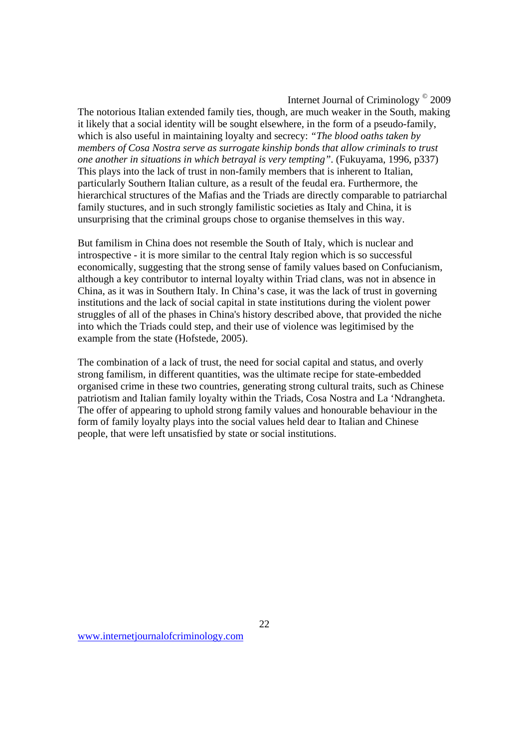The notorious Italian extended family ties, though, are much weaker in the South, making it likely that a social identity will be sought elsewhere, in the form of a pseudo-family, which is also useful in maintaining loyalty and secrecy: *"The blood oaths taken by members of Cosa Nostra serve as surrogate kinship bonds that allow criminals to trust one another in situations in which betrayal is very tempting"*. (Fukuyama, 1996, p337) This plays into the lack of trust in non-family members that is inherent to Italian, particularly Southern Italian culture, as a result of the feudal era. Furthermore, the hierarchical structures of the Mafias and the Triads are directly comparable to patriarchal family stuctures, and in such strongly familistic societies as Italy and China, it is unsurprising that the criminal groups chose to organise themselves in this way.

But familism in China does not resemble the South of Italy, which is nuclear and introspective - it is more similar to the central Italy region which is so successful economically, suggesting that the strong sense of family values based on Confucianism, although a key contributor to internal loyalty within Triad clans, was not in absence in China, as it was in Southern Italy. In China's case, it was the lack of trust in governing institutions and the lack of social capital in state institutions during the violent power struggles of all of the phases in China's history described above, that provided the niche into which the Triads could step, and their use of violence was legitimised by the example from the state (Hofstede, 2005).

The combination of a lack of trust, the need for social capital and status, and overly strong familism, in different quantities, was the ultimate recipe for state-embedded organised crime in these two countries, generating strong cultural traits, such as Chinese patriotism and Italian family loyalty within the Triads, Cosa Nostra and La 'Ndrangheta. The offer of appearing to uphold strong family values and honourable behaviour in the form of family loyalty plays into the social values held dear to Italian and Chinese people, that were left unsatisfied by state or social institutions.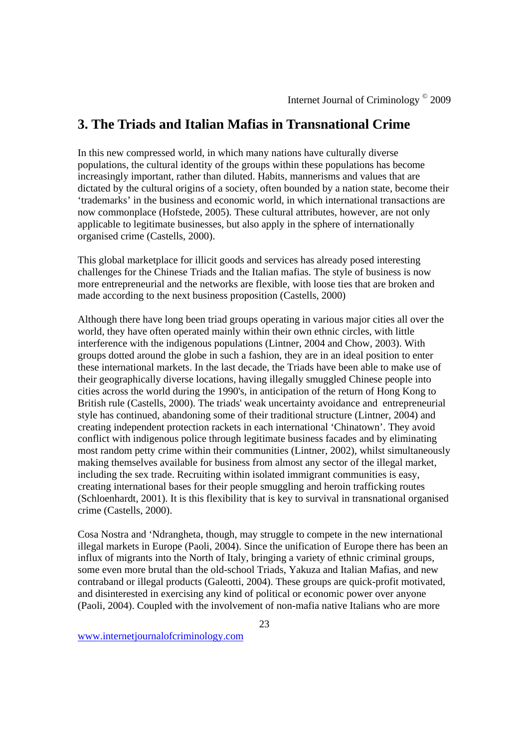## **3. The Triads and Italian Mafias in Transnational Crime**

In this new compressed world, in which many nations have culturally diverse populations, the cultural identity of the groups within these populations has become increasingly important, rather than diluted. Habits, mannerisms and values that are dictated by the cultural origins of a society, often bounded by a nation state, become their 'trademarks' in the business and economic world, in which international transactions are now commonplace (Hofstede, 2005). These cultural attributes, however, are not only applicable to legitimate businesses, but also apply in the sphere of internationally organised crime (Castells, 2000).

This global marketplace for illicit goods and services has already posed interesting challenges for the Chinese Triads and the Italian mafias. The style of business is now more entrepreneurial and the networks are flexible, with loose ties that are broken and made according to the next business proposition (Castells, 2000)

Although there have long been triad groups operating in various major cities all over the world, they have often operated mainly within their own ethnic circles, with little interference with the indigenous populations (Lintner, 2004 and Chow, 2003). With groups dotted around the globe in such a fashion, they are in an ideal position to enter these international markets. In the last decade, the Triads have been able to make use of their geographically diverse locations, having illegally smuggled Chinese people into cities across the world during the 1990's, in anticipation of the return of Hong Kong to British rule (Castells, 2000). The triads' weak uncertainty avoidance and entrepreneurial style has continued, abandoning some of their traditional structure (Lintner, 2004) and creating independent protection rackets in each international 'Chinatown'. They avoid conflict with indigenous police through legitimate business facades and by eliminating most random petty crime within their communities (Lintner, 2002), whilst simultaneously making themselves available for business from almost any sector of the illegal market, including the sex trade. Recruiting within isolated immigrant communities is easy, creating international bases for their people smuggling and heroin trafficking routes (Schloenhardt, 2001). It is this flexibility that is key to survival in transnational organised crime (Castells, 2000).

Cosa Nostra and 'Ndrangheta, though, may struggle to compete in the new international illegal markets in Europe (Paoli, 2004). Since the unification of Europe there has been an influx of migrants into the North of Italy, bringing a variety of ethnic criminal groups, some even more brutal than the old-school Triads, Yakuza and Italian Mafias, and new contraband or illegal products (Galeotti, 2004). These groups are quick-profit motivated, and disinterested in exercising any kind of political or economic power over anyone (Paoli, 2004). Coupled with the involvement of non-mafia native Italians who are more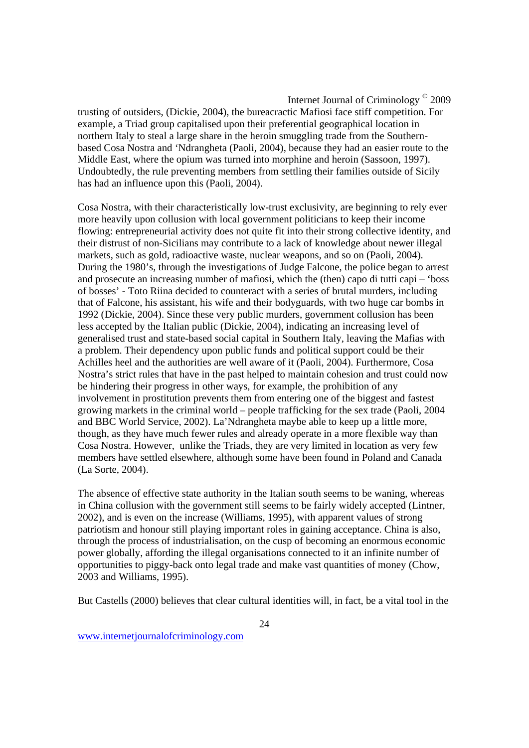trusting of outsiders, (Dickie, 2004), the bureacractic Mafiosi face stiff competition. For example, a Triad group capitalised upon their preferential geographical location in northern Italy to steal a large share in the heroin smuggling trade from the Southernbased Cosa Nostra and 'Ndrangheta (Paoli, 2004), because they had an easier route to the Middle East, where the opium was turned into morphine and heroin (Sassoon, 1997). Undoubtedly, the rule preventing members from settling their families outside of Sicily has had an influence upon this (Paoli, 2004).

Cosa Nostra, with their characteristically low-trust exclusivity, are beginning to rely ever more heavily upon collusion with local government politicians to keep their income flowing: entrepreneurial activity does not quite fit into their strong collective identity, and their distrust of non-Sicilians may contribute to a lack of knowledge about newer illegal markets, such as gold, radioactive waste, nuclear weapons, and so on (Paoli, 2004). During the 1980's, through the investigations of Judge Falcone, the police began to arrest and prosecute an increasing number of mafiosi, which the (then) capo di tutti capi – 'boss of bosses' - Toto Riina decided to counteract with a series of brutal murders, including that of Falcone, his assistant, his wife and their bodyguards, with two huge car bombs in 1992 (Dickie, 2004). Since these very public murders, government collusion has been less accepted by the Italian public (Dickie, 2004), indicating an increasing level of generalised trust and state-based social capital in Southern Italy, leaving the Mafias with a problem. Their dependency upon public funds and political support could be their Achilles heel and the authorities are well aware of it (Paoli, 2004). Furthermore, Cosa Nostra's strict rules that have in the past helped to maintain cohesion and trust could now be hindering their progress in other ways, for example, the prohibition of any involvement in prostitution prevents them from entering one of the biggest and fastest growing markets in the criminal world – people trafficking for the sex trade (Paoli, 2004 and BBC World Service, 2002). La'Ndrangheta maybe able to keep up a little more, though, as they have much fewer rules and already operate in a more flexible way than Cosa Nostra. However, unlike the Triads, they are very limited in location as very few members have settled elsewhere, although some have been found in Poland and Canada (La Sorte, 2004).

The absence of effective state authority in the Italian south seems to be waning, whereas in China collusion with the government still seems to be fairly widely accepted (Lintner, 2002), and is even on the increase (Williams, 1995), with apparent values of strong patriotism and honour still playing important roles in gaining acceptance. China is also, through the process of industrialisation, on the cusp of becoming an enormous economic power globally, affording the illegal organisations connected to it an infinite number of opportunities to piggy-back onto legal trade and make vast quantities of money (Chow, 2003 and Williams, 1995).

But Castells (2000) believes that clear cultural identities will, in fact, be a vital tool in the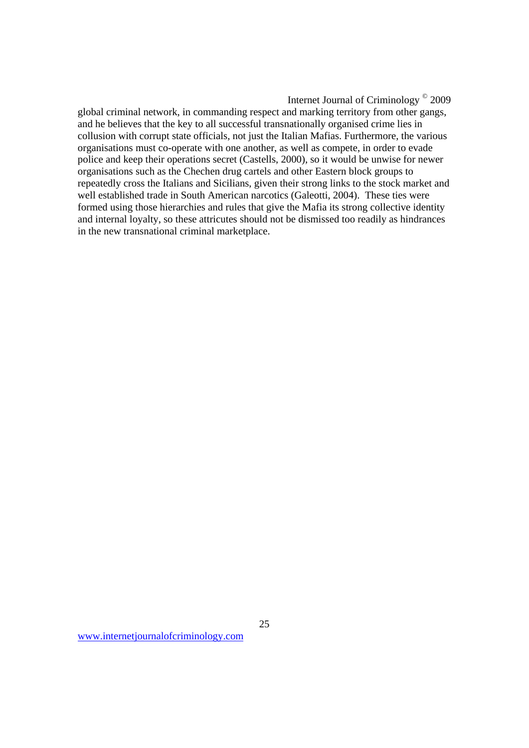global criminal network, in commanding respect and marking territory from other gangs, and he believes that the key to all successful transnationally organised crime lies in collusion with corrupt state officials, not just the Italian Mafias. Furthermore, the various organisations must co-operate with one another, as well as compete, in order to evade police and keep their operations secret (Castells, 2000), so it would be unwise for newer organisations such as the Chechen drug cartels and other Eastern block groups to repeatedly cross the Italians and Sicilians, given their strong links to the stock market and well established trade in South American narcotics (Galeotti, 2004). These ties were formed using those hierarchies and rules that give the Mafia its strong collective identity and internal loyalty, so these attricutes should not be dismissed too readily as hindrances in the new transnational criminal marketplace.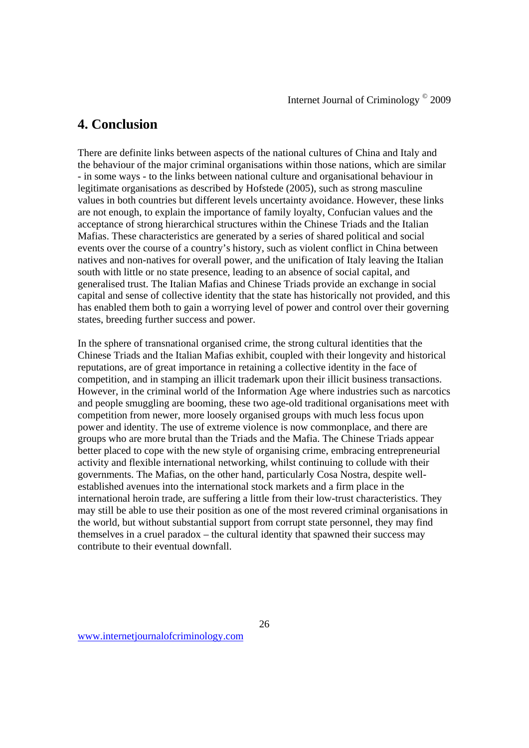## **4. Conclusion**

There are definite links between aspects of the national cultures of China and Italy and the behaviour of the major criminal organisations within those nations, which are similar - in some ways - to the links between national culture and organisational behaviour in legitimate organisations as described by Hofstede (2005), such as strong masculine values in both countries but different levels uncertainty avoidance. However, these links are not enough, to explain the importance of family loyalty, Confucian values and the acceptance of strong hierarchical structures within the Chinese Triads and the Italian Mafias. These characteristics are generated by a series of shared political and social events over the course of a country's history, such as violent conflict in China between natives and non-natives for overall power, and the unification of Italy leaving the Italian south with little or no state presence, leading to an absence of social capital, and generalised trust. The Italian Mafias and Chinese Triads provide an exchange in social capital and sense of collective identity that the state has historically not provided, and this has enabled them both to gain a worrying level of power and control over their governing states, breeding further success and power.

In the sphere of transnational organised crime, the strong cultural identities that the Chinese Triads and the Italian Mafias exhibit, coupled with their longevity and historical reputations, are of great importance in retaining a collective identity in the face of competition, and in stamping an illicit trademark upon their illicit business transactions. However, in the criminal world of the Information Age where industries such as narcotics and people smuggling are booming, these two age-old traditional organisations meet with competition from newer, more loosely organised groups with much less focus upon power and identity. The use of extreme violence is now commonplace, and there are groups who are more brutal than the Triads and the Mafia. The Chinese Triads appear better placed to cope with the new style of organising crime, embracing entrepreneurial activity and flexible international networking, whilst continuing to collude with their governments. The Mafias, on the other hand, particularly Cosa Nostra, despite wellestablished avenues into the international stock markets and a firm place in the international heroin trade, are suffering a little from their low-trust characteristics. They may still be able to use their position as one of the most revered criminal organisations in the world, but without substantial support from corrupt state personnel, they may find themselves in a cruel paradox – the cultural identity that spawned their success may contribute to their eventual downfall.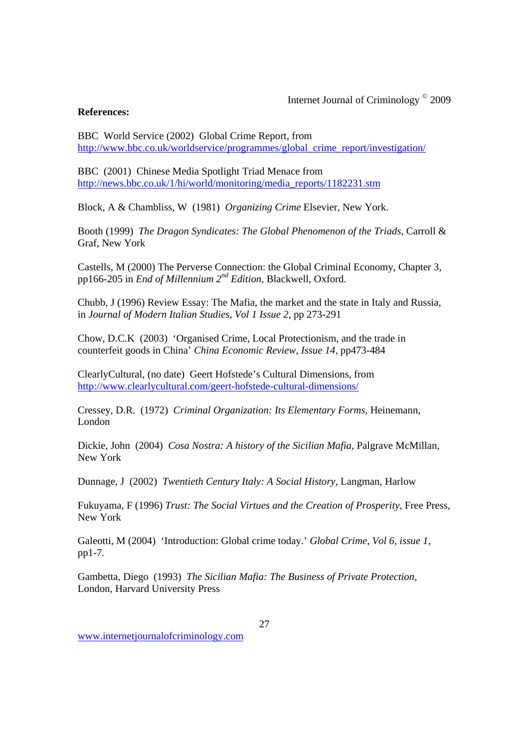### **References:**

BBC World Service (2002) Global Crime Report, from http://www.bbc.co.uk/worldservice/programmes/global\_crime\_report/investigation/

BBC (2001) Chinese Media Spotlight Triad Menace from http://news.bbc.co.uk/1/hi/world/monitoring/media\_reports/1182231.stm

Block, A & Chambliss, W (1981) *Organizing Crime* Elsevier, New York.

Booth (1999) *The Dragon Syndicates: The Global Phenomenon of the Triads,* Carroll & Graf, New York

Castells, M (2000) The Perverse Connection: the Global Criminal Economy, Chapter 3, pp166-205 in *End of Millennium 2nd Edition*, Blackwell, Oxford.

Chubb, J (1996) Review Essay: The Mafia, the market and the state in Italy and Russia, in *Journal of Modern Italian Studies, Vol 1 Issue 2*, pp 273-291

Chow, D.C.K (2003) 'Organised Crime, Local Protectionism, and the trade in counterfeit goods in China' *China Economic Review, Issue 14,* pp473-484

ClearlyCultural, (no date) Geert Hofstede's Cultural Dimensions, from http://www.clearlycultural.com/geert-hofstede-cultural-dimensions/

Cressey, D.R. (1972) *Criminal Organization: Its Elementary Forms,* Heinemann, London

Dickie, John (2004) *Cosa Nostra: A history of the Sicilian Mafia,* Palgrave McMillan, New York

Dunnage, J (2002) *Twentieth Century Italy: A Social History*, Langman, Harlow

Fukuyama, F (1996) *Trust: The Social Virtues and the Creation of Prosperity*, Free Press, New York

Galeotti, M (2004) 'Introduction: Global crime today.' *Global Crime, Vol 6, issue 1,*  pp1-7*.*

Gambetta, Diego (1993) *The Sicilian Mafia: The Business of Private Protection,*  London, Harvard University Press